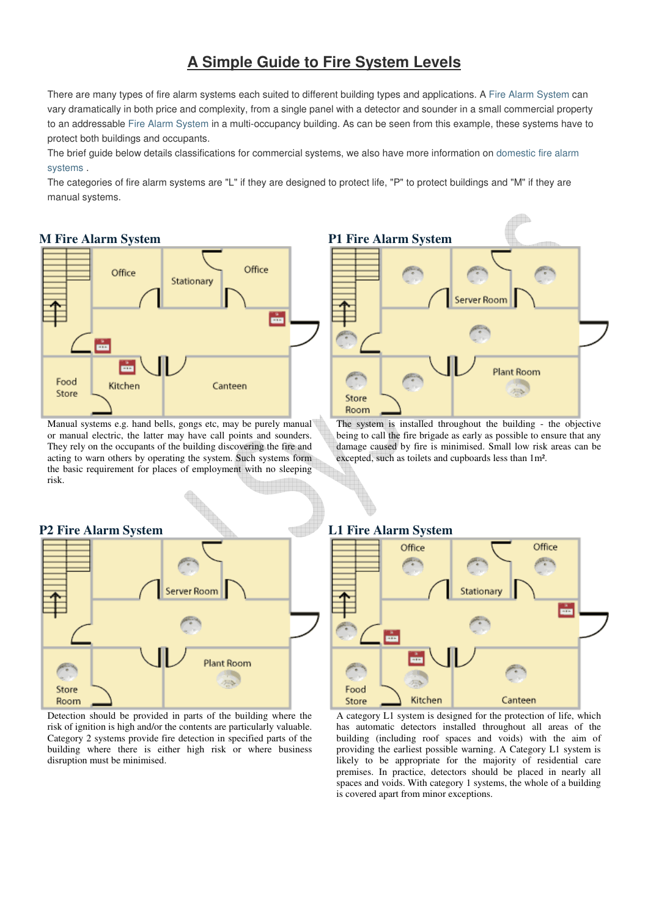# **A Simple Guide to Fire System Levels**

There are many types of fire alarm systems each suited to different building types and applications. A Fire Alarm System can vary dramatically in both price and complexity, from a single panel with a detector and sounder in a small commercial property to an addressable Fire Alarm System in a multi-occupancy building. As can be seen from this example, these systems have to protect both buildings and occupants.

The brief guide below details classifications for commercial systems, we also have more information on domestic fire alarm systems .

The categories of fire alarm systems are "L" if they are designed to protect life, "P" to protect buildings and "M" if they are manual systems.

## **M Fire Alarm System**



Manual systems e.g. hand bells, gongs etc, may be purely manual or manual electric, the latter may have call points and sounders. They rely on the occupants of the building discovering the fire and acting to warn others by operating the system. Such systems form the basic requirement for places of employment with no sleeping risk.



The system is installed throughout the building - the objective being to call the fire brigade as early as possible to ensure that any damage caused by fire is minimised. Small low risk areas can be excepted, such as toilets and cupboards less than 1m².



#### Detection should be provided in parts of the building where the risk of ignition is high and/or the contents are particularly valuable. Category 2 systems provide fire detection in specified parts of the building where there is either high risk or where business disruption must be minimised.

## **L1 Fire Alarm System**



A category L1 system is designed for the protection of life, which has automatic detectors installed throughout all areas of the building (including roof spaces and voids) with the aim of providing the earliest possible warning. A Category L1 system is likely to be appropriate for the majority of residential care premises. In practice, detectors should be placed in nearly all spaces and voids. With category 1 systems, the whole of a building is covered apart from minor exceptions.